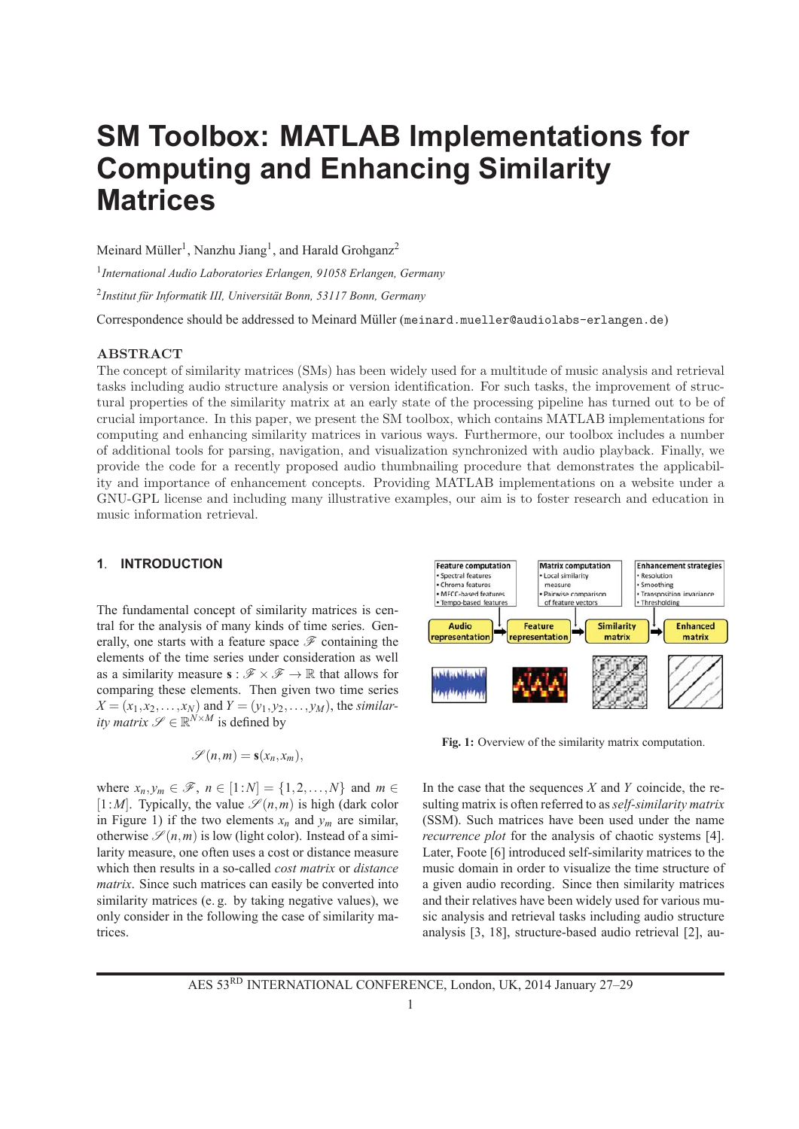# **SM Toolbox: MATLAB Implementations for Computing and Enhancing Similarity Matrices**

Meinard Müller<sup>1</sup>, Nanzhu Jiang<sup>1</sup>, and Harald Grohganz<sup>2</sup>

<sup>1</sup>*International Audio Laboratories Erlangen, 91058 Erlangen, Germany*

<sup>2</sup>Institut für Informatik III, Universität Bonn, 53117 Bonn, Germany

Correspondence should be addressed to Meinard Müller (meinard.mueller@audiolabs-erlangen.de)

#### **ABSTRACT**

The concept of similarity matrices (SMs) has been widely used for a multitude of music analysis and retrieval tasks including audio structure analysis or version identification. For such tasks, the improvement of structural properties of the similarity matrix at an early state of the processing pipeline has turned out to be of crucial importance. In this paper, we present the SM toolbox, which contains MATLAB implementations for computing and enhancing similarity matrices in various ways. Furthermore, our toolbox includes a number of additional tools for parsing, navigation, and visualization synchronized with audio playback. Finally, we provide the code for a recently proposed audio thumbnailing procedure that demonstrates the applicability and importance of enhancement concepts. Providing MATLAB implementations on a website under a GNU-GPL license and including many illustrative examples, our aim is to foster research and education in music information retrieval.

## **1**. **INTRODUCTION**

The fundamental concept of similarity matrices is central for the analysis of many kinds of time series. Generally, one starts with a feature space  $\mathscr F$  containing the elements of the time series under consideration as well as a similarity measure  $\mathbf{s} : \mathcal{F} \times \mathcal{F} \to \mathbb{R}$  that allows for comparing these elements. Then given two time series  $X = (x_1, x_2, \dots, x_N)$  and  $Y = (y_1, y_2, \dots, y_M)$ , the *similarity matrix*  $\mathscr{S} \in \mathbb{R}^{N \times M}$  is defined by

$$
\mathscr{S}(n,m) = \mathbf{s}(x_n,x_m),
$$

where  $x_n, y_m \in \mathcal{F}$ ,  $n \in [1:N] = \{1, 2, \ldots, N\}$  and  $m \in$  $[1:M]$ . Typically, the value  $\mathscr{S}(n,m)$  is high (dark color in Figure 1) if the two elements  $x_n$  and  $y_m$  are similar, otherwise  $\mathcal{S}(n,m)$  is low (light color). Instead of a similarity measure, one often uses a cost or distance measure which then results in a so-called *cost matrix* or *distance matrix*. Since such matrices can easily be converted into similarity matrices (e. g. by taking negative values), we only consider in the following the case of similarity matrices.



**Fig. 1:** Overview of the similarity matrix computation.

In the case that the sequences *X* and *Y* coincide, the resulting matrix is often referred to as *self-similarity matrix* (SSM). Such matrices have been used under the name *recurrence plot* for the analysis of chaotic systems [4]. Later, Foote [6] introduced self-similarity matrices to the music domain in order to visualize the time structure of a given audio recording. Since then similarity matrices and their relatives have been widely used for various music analysis and retrieval tasks including audio structure analysis [3, 18], structure-based audio retrieval [2], au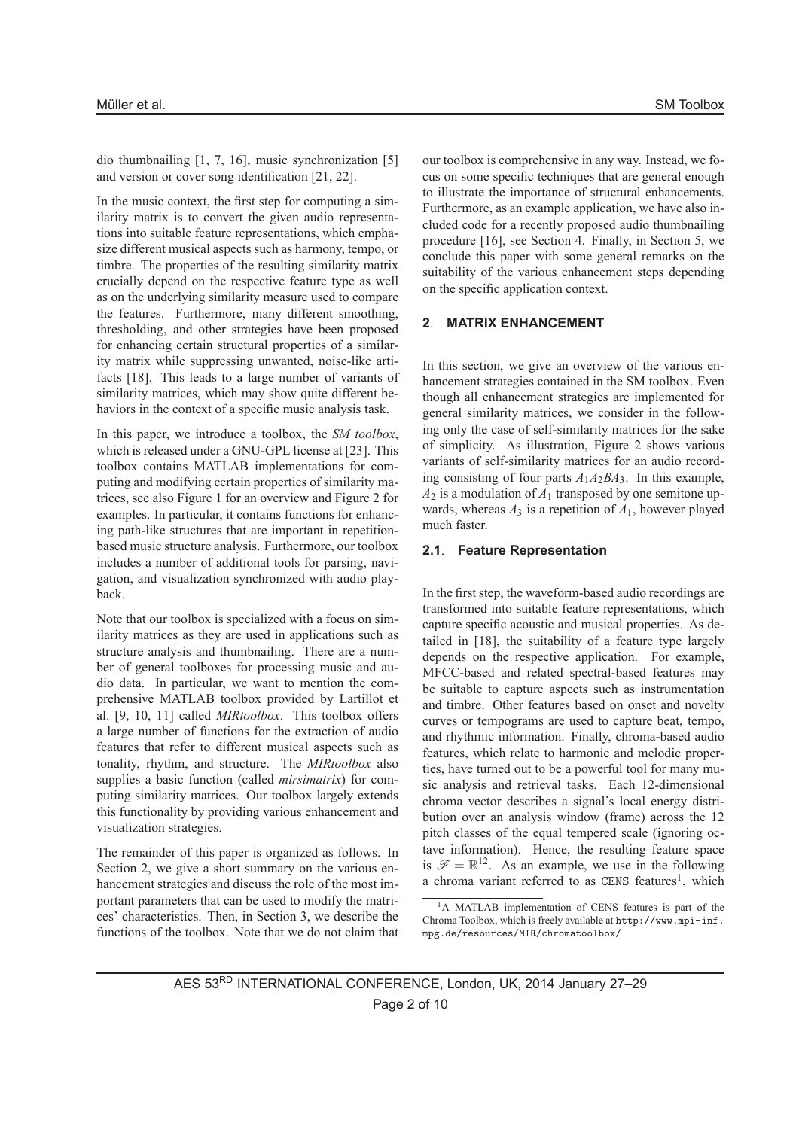dio thumbnailing [1, 7, 16], music synchronization [5] and version or cover song identification [21, 22].

In the music context, the first step for computing a similarity matrix is to convert the given audio representations into suitable feature representations, which emphasize different musical aspects such as harmony, tempo, or timbre. The properties of the resulting similarity matrix crucially depend on the respective feature type as well as on the underlying similarity measure used to compare the features. Furthermore, many different smoothing, thresholding, and other strategies have been proposed for enhancing certain structural properties of a similarity matrix while suppressing unwanted, noise-like artifacts [18]. This leads to a large number of variants of similarity matrices, which may show quite different behaviors in the context of a specific music analysis task.

In this paper, we introduce a toolbox, the *SM toolbox*, which is released under a GNU-GPL license at [23]. This toolbox contains MATLAB implementations for computing and modifying certain properties of similarity matrices, see also Figure 1 for an overview and Figure 2 for examples. In particular, it contains functions for enhancing path-like structures that are important in repetitionbased music structure analysis. Furthermore, our toolbox includes a number of additional tools for parsing, navigation, and visualization synchronized with audio playback.

Note that our toolbox is specialized with a focus on similarity matrices as they are used in applications such as structure analysis and thumbnailing. There are a number of general toolboxes for processing music and audio data. In particular, we want to mention the comprehensive MATLAB toolbox provided by Lartillot et al. [9, 10, 11] called *MIRtoolbox*. This toolbox offers a large number of functions for the extraction of audio features that refer to different musical aspects such as tonality, rhythm, and structure. The *MIRtoolbox* also supplies a basic function (called *mirsimatrix*) for computing similarity matrices. Our toolbox largely extends this functionality by providing various enhancement and visualization strategies.

The remainder of this paper is organized as follows. In Section 2, we give a short summary on the various enhancement strategies and discuss the role of the most important parameters that can be used to modify the matrices' characteristics. Then, in Section 3, we describe the functions of the toolbox. Note that we do not claim that our toolbox is comprehensive in any way. Instead, we focus on some specific techniques that are general enough to illustrate the importance of structural enhancements. Furthermore, as an example application, we have also included code for a recently proposed audio thumbnailing procedure [16], see Section 4. Finally, in Section 5, we conclude this paper with some general remarks on the suitability of the various enhancement steps depending on the specific application context.

### **2**. **MATRIX ENHANCEMENT**

In this section, we give an overview of the various enhancement strategies contained in the SM toolbox. Even though all enhancement strategies are implemented for general similarity matrices, we consider in the following only the case of self-similarity matrices for the sake of simplicity. As illustration, Figure 2 shows various variants of self-similarity matrices for an audio recording consisting of four parts  $A_1A_2BA_3$ . In this example,  $A_2$  is a modulation of  $A_1$  transposed by one semitone upwards, whereas  $A_3$  is a repetition of  $A_1$ , however played much faster.

### **2.1**. **Feature Representation**

In the first step, the waveform-based audio recordings are transformed into suitable feature representations, which capture specific acoustic and musical properties. As detailed in [18], the suitability of a feature type largely depends on the respective application. For example, MFCC-based and related spectral-based features may be suitable to capture aspects such as instrumentation and timbre. Other features based on onset and novelty curves or tempograms are used to capture beat, tempo, and rhythmic information. Finally, chroma-based audio features, which relate to harmonic and melodic properties, have turned out to be a powerful tool for many music analysis and retrieval tasks. Each 12-dimensional chroma vector describes a signal's local energy distribution over an analysis window (frame) across the 12 pitch classes of the equal tempered scale (ignoring octave information). Hence, the resulting feature space is  $\mathscr{F} = \mathbb{R}^{12}$ . As an example, we use in the following a chroma variant referred to as  $CENS$  features<sup>1</sup>, which

<sup>&</sup>lt;sup>1</sup>A MATLAB implementation of CENS features is part of the Chroma Toolbox, which is freely available at http://www.mpi-inf. mpg.de/resources/MIR/chromatoolbox/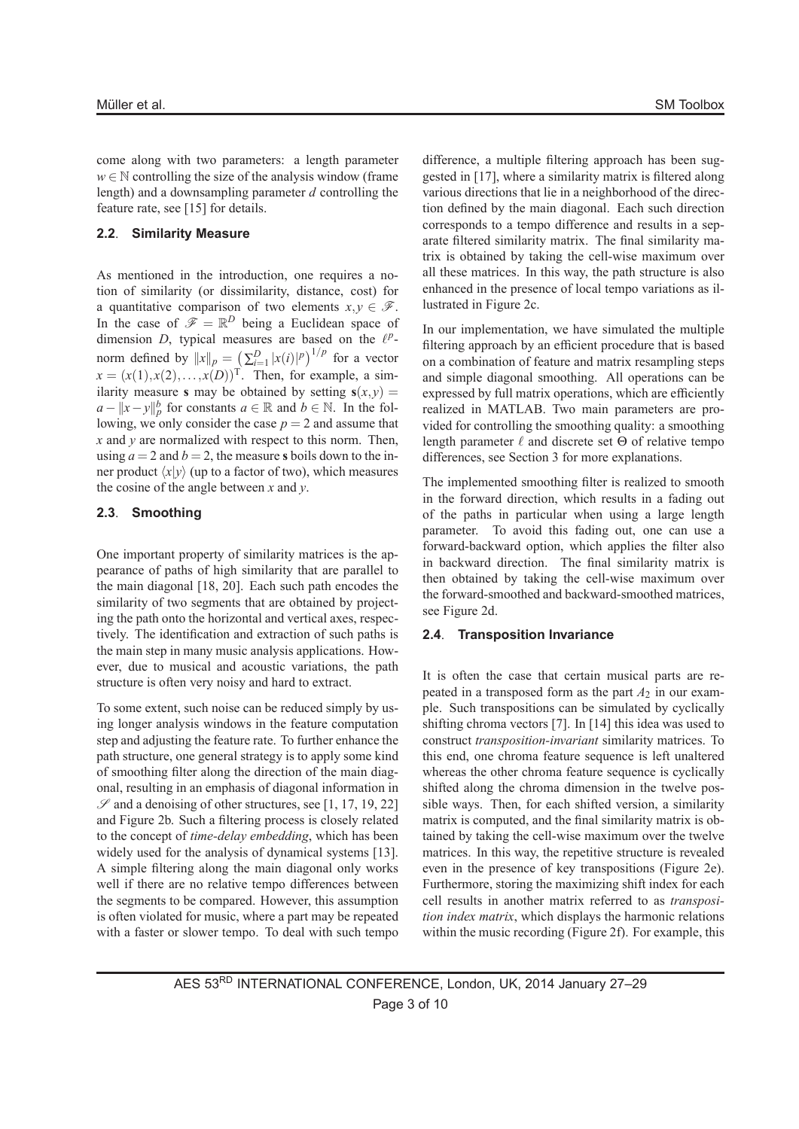come along with two parameters: a length parameter  $w \in \mathbb{N}$  controlling the size of the analysis window (frame length) and a downsampling parameter *d* controlling the feature rate, see [15] for details.

#### **2.2**. **Similarity Measure**

As mentioned in the introduction, one requires a notion of similarity (or dissimilarity, distance, cost) for a quantitative comparison of two elements  $x, y \in \mathcal{F}$ . In the case of  $\mathcal{F} = \mathbb{R}^D$  being a Euclidean space of dimension  $D$ , typical measures are based on the  $l^p$ norm defined by  $||x||_p = \left(\sum_{i=1}^D |x(i)|^p\right)^{1/p}$  for a vector  $x = (x(1), x(2), \ldots, x(D))$ <sup>T</sup>. Then, for example, a similarity measure **s** may be obtained by setting  $s(x, y) =$  $a - ||x - y||_p^b$  for constants  $a \in \mathbb{R}$  and  $b \in \mathbb{N}$ . In the following, we only consider the case  $p = 2$  and assume that *x* and *y* are normalized with respect to this norm. Then, using  $a = 2$  and  $b = 2$ , the measure **s** boils down to the inner product  $\langle x|y \rangle$  (up to a factor of two), which measures the cosine of the angle between *x* and *y*.

# **2.3**. **Smoothing**

One important property of similarity matrices is the appearance of paths of high similarity that are parallel to the main diagonal [18, 20]. Each such path encodes the similarity of two segments that are obtained by projecting the path onto the horizontal and vertical axes, respectively. The identification and extraction of such paths is the main step in many music analysis applications. However, due to musical and acoustic variations, the path structure is often very noisy and hard to extract.

To some extent, such noise can be reduced simply by using longer analysis windows in the feature computation step and adjusting the feature rate. To further enhance the path structure, one general strategy is to apply some kind of smoothing filter along the direction of the main diagonal, resulting in an emphasis of diagonal information in  $\mathscr S$  and a denoising of other structures, see [1, 17, 19, 22] and Figure 2b. Such a filtering process is closely related to the concept of *time-delay embedding*, which has been widely used for the analysis of dynamical systems [13]. A simple filtering along the main diagonal only works well if there are no relative tempo differences between the segments to be compared. However, this assumption is often violated for music, where a part may be repeated with a faster or slower tempo. To deal with such tempo

difference, a multiple filtering approach has been suggested in [17], where a similarity matrix is filtered along various directions that lie in a neighborhood of the direction defined by the main diagonal. Each such direction corresponds to a tempo difference and results in a separate filtered similarity matrix. The final similarity matrix is obtained by taking the cell-wise maximum over all these matrices. In this way, the path structure is also enhanced in the presence of local tempo variations as illustrated in Figure 2c.

In our implementation, we have simulated the multiple filtering approach by an efficient procedure that is based on a combination of feature and matrix resampling steps and simple diagonal smoothing. All operations can be expressed by full matrix operations, which are efficiently realized in MATLAB. Two main parameters are provided for controlling the smoothing quality: a smoothing length parameter  $\ell$  and discrete set  $\Theta$  of relative tempo differences, see Section 3 for more explanations.

The implemented smoothing filter is realized to smooth in the forward direction, which results in a fading out of the paths in particular when using a large length parameter. To avoid this fading out, one can use a forward-backward option, which applies the filter also in backward direction. The final similarity matrix is then obtained by taking the cell-wise maximum over the forward-smoothed and backward-smoothed matrices, see Figure 2d.

#### **2.4**. **Transposition Invariance**

It is often the case that certain musical parts are repeated in a transposed form as the part  $A_2$  in our example. Such transpositions can be simulated by cyclically shifting chroma vectors [7]. In [14] this idea was used to construct *transposition-invariant* similarity matrices. To this end, one chroma feature sequence is left unaltered whereas the other chroma feature sequence is cyclically shifted along the chroma dimension in the twelve possible ways. Then, for each shifted version, a similarity matrix is computed, and the final similarity matrix is obtained by taking the cell-wise maximum over the twelve matrices. In this way, the repetitive structure is revealed even in the presence of key transpositions (Figure 2e). Furthermore, storing the maximizing shift index for each cell results in another matrix referred to as *transposition index matrix*, which displays the harmonic relations within the music recording (Figure 2f). For example, this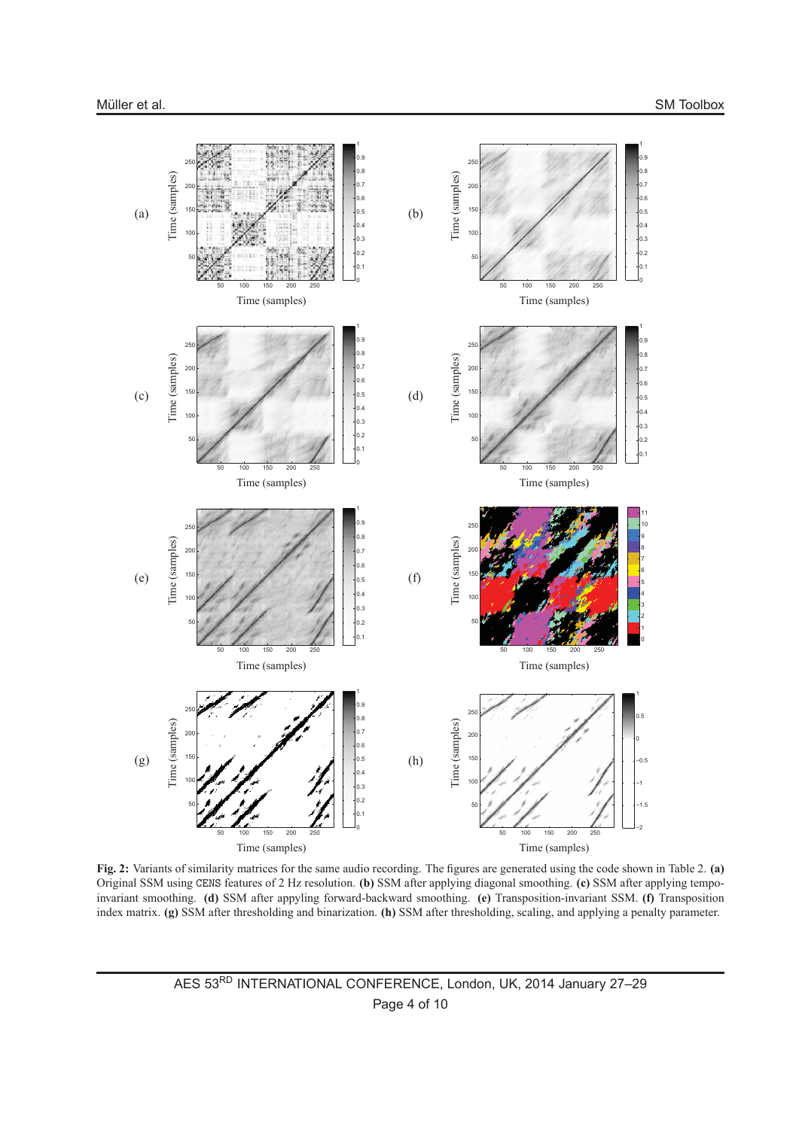

**Fig. 2:** Variants of similarity matrices for the same audio recording. The figures are generated using the code shown in Table 2. **(a)** Original SSM using CENS features of 2 Hz resolution. **(b)** SSM after applying diagonal smoothing. **(c)** SSM after applying tempoinvariant smoothing. **(d)** SSM after appyling forward-backward smoothing. **(e)** Transposition-invariant SSM. **(f)** Transposition index matrix. **(g)** SSM after thresholding and binarization. **(h)** SSM after thresholding, scaling, and applying a penalty parameter.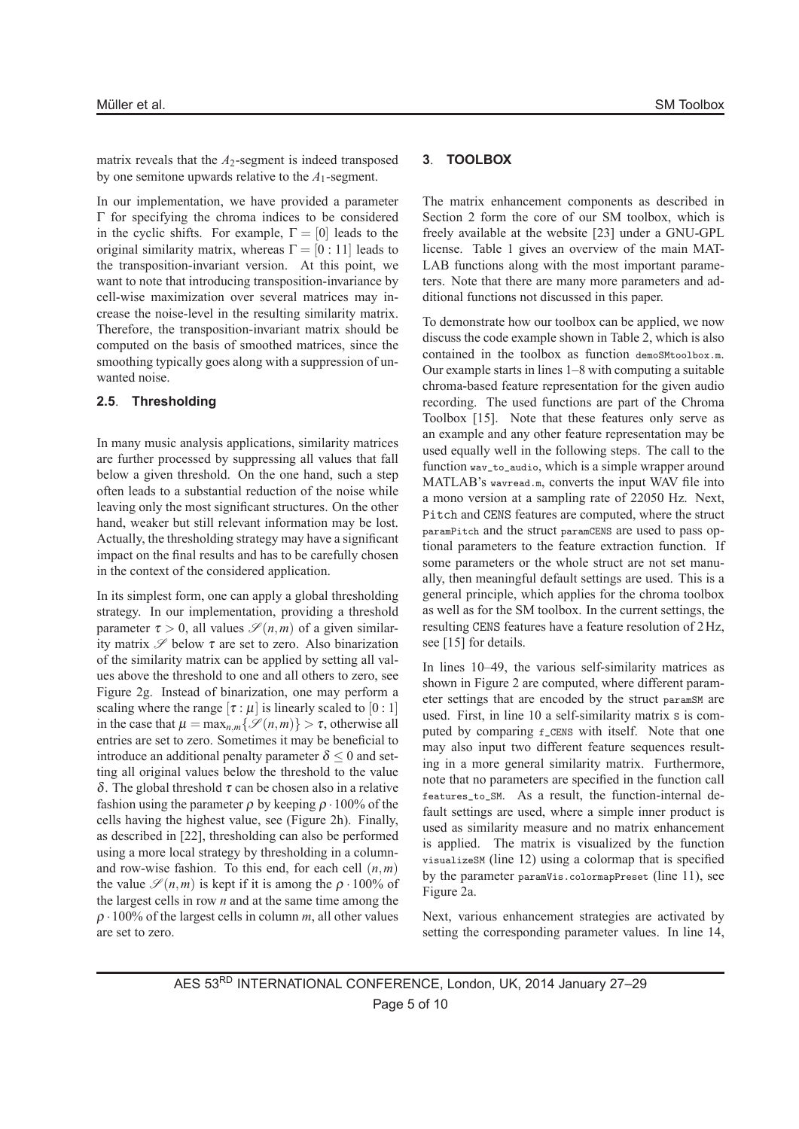matrix reveals that the  $A_2$ -segment is indeed transposed by one semitone upwards relative to the *A*1-segment.

In our implementation, we have provided a parameter Γ for specifying the chroma indices to be considered in the cyclic shifts. For example,  $\Gamma = [0]$  leads to the original similarity matrix, whereas  $\Gamma = [0:11]$  leads to the transposition-invariant version. At this point, we want to note that introducing transposition-invariance by cell-wise maximization over several matrices may increase the noise-level in the resulting similarity matrix. Therefore, the transposition-invariant matrix should be computed on the basis of smoothed matrices, since the smoothing typically goes along with a suppression of unwanted noise.

#### **2.5**. **Thresholding**

In many music analysis applications, similarity matrices are further processed by suppressing all values that fall below a given threshold. On the one hand, such a step often leads to a substantial reduction of the noise while leaving only the most significant structures. On the other hand, weaker but still relevant information may be lost. Actually, the thresholding strategy may have a significant impact on the final results and has to be carefully chosen in the context of the considered application.

In its simplest form, one can apply a global thresholding strategy. In our implementation, providing a threshold parameter  $\tau > 0$ , all values  $\mathscr{S}(n,m)$  of a given similarity matrix  $\mathscr S$  below  $\tau$  are set to zero. Also binarization of the similarity matrix can be applied by setting all values above the threshold to one and all others to zero, see Figure 2g. Instead of binarization, one may perform a scaling where the range  $[\tau : \mu]$  is linearly scaled to [0 : 1] in the case that  $\mu = \max_{n,m} \{ \mathcal{S}(n,m) \} > \tau$ , otherwise all entries are set to zero. Sometimes it may be beneficial to introduce an additional penalty parameter  $\delta$  < 0 and setting all original values below the threshold to the value δ. The global threshold <sup>τ</sup> can be chosen also in a relative fashion using the parameter  $\rho$  by keeping  $\rho \cdot 100\%$  of the cells having the highest value, see (Figure 2h). Finally, as described in [22], thresholding can also be performed using a more local strategy by thresholding in a columnand row-wise fashion. To this end, for each cell (*n*,*m*) the value  $\mathscr{S}(n,m)$  is kept if it is among the  $\rho \cdot 100\%$  of the largest cells in row *n* and at the same time among the <sup>ρ</sup> ·100% of the largest cells in column *m*, all other values are set to zero.

#### **3**. **TOOLBOX**

The matrix enhancement components as described in Section 2 form the core of our SM toolbox, which is freely available at the website [23] under a GNU-GPL license. Table 1 gives an overview of the main MAT-LAB functions along with the most important parameters. Note that there are many more parameters and additional functions not discussed in this paper.

To demonstrate how our toolbox can be applied, we now discuss the code example shown in Table 2, which is also contained in the toolbox as function demoSMtoolbox.m. Our example starts in lines 1–8 with computing a suitable chroma-based feature representation for the given audio recording. The used functions are part of the Chroma Toolbox [15]. Note that these features only serve as an example and any other feature representation may be used equally well in the following steps. The call to the function way\_to\_audio, which is a simple wrapper around MATLAB's wavread.m, converts the input WAV file into a mono version at a sampling rate of 22050 Hz. Next, Pitch and CENS features are computed, where the struct paramPitch and the struct paramCENS are used to pass optional parameters to the feature extraction function. If some parameters or the whole struct are not set manually, then meaningful default settings are used. This is a general principle, which applies for the chroma toolbox as well as for the SM toolbox. In the current settings, the resulting CENS features have a feature resolution of 2Hz, see [15] for details.

In lines 10–49, the various self-similarity matrices as shown in Figure 2 are computed, where different parameter settings that are encoded by the struct paramSM are used. First, in line 10 a self-similarity matrix s is computed by comparing  $f$ <sub>c</sub>cens with itself. Note that one may also input two different feature sequences resulting in a more general similarity matrix. Furthermore, note that no parameters are specified in the function call features\_to\_SM. As a result, the function-internal default settings are used, where a simple inner product is used as similarity measure and no matrix enhancement is applied. The matrix is visualized by the function visualizeSM (line 12) using a colormap that is specified by the parameter paramVis.colormapPreset (line 11), see Figure 2a.

Next, various enhancement strategies are activated by setting the corresponding parameter values. In line 14,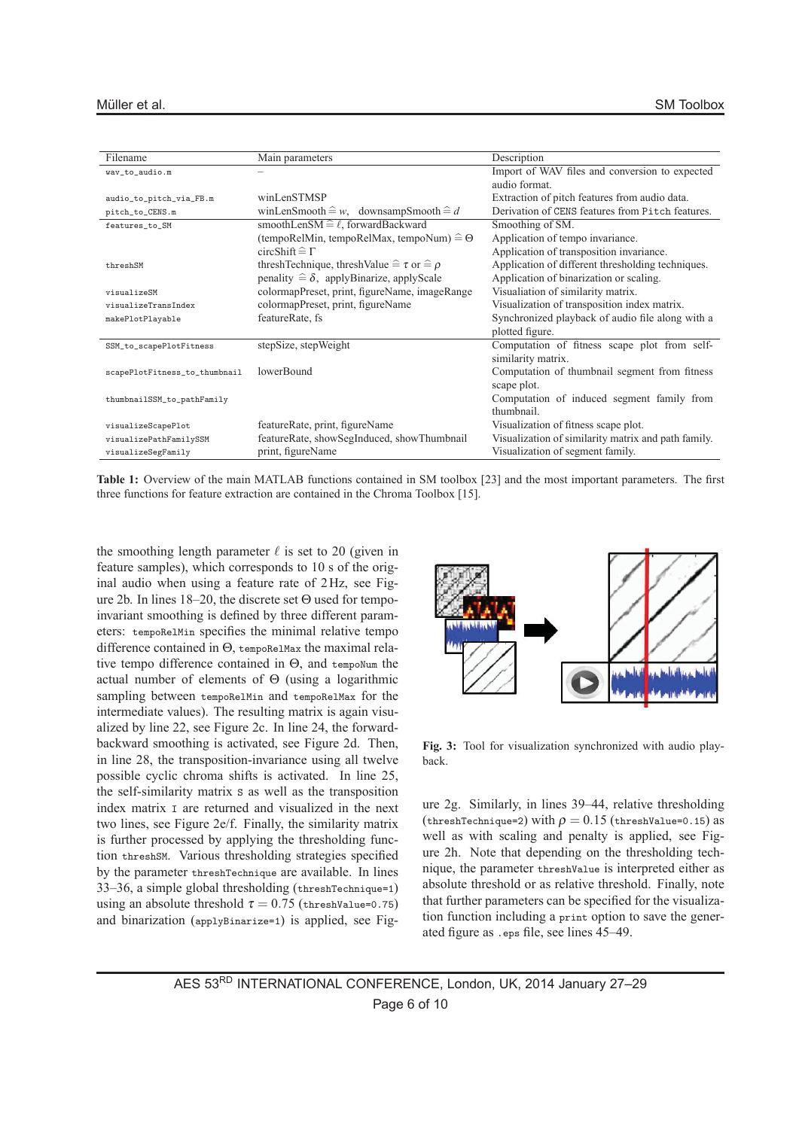| Filename                      | Main parameters                                                 | Description                                         |
|-------------------------------|-----------------------------------------------------------------|-----------------------------------------------------|
| wav_to_audio.m                |                                                                 | Import of WAV files and conversion to expected      |
|                               |                                                                 | audio format.                                       |
| audio_to_pitch_via_FB.m       | winLenSTMSP                                                     | Extraction of pitch features from audio data.       |
| pitch_to_CENS.m               | winLenSmooth $\widehat{=} w$ , downsampSmooth $\widehat{=} d$   | Derivation of CENS features from Pitch features.    |
| features_to_SM                | smoothLenSM $\widehat{=} \ell$ , forwardBackward                | Smoothing of SM.                                    |
|                               | (tempoRelMin, tempoRelMax, tempoNum) $\hat{=} \Theta$           | Application of tempo invariance.                    |
|                               | circ $\text{Shift} \cong \Gamma$                                | Application of transposition invariance.            |
| threshSM                      | thresh Technique, thresh Value $\hat{=} \tau$ or $\hat{=} \rho$ | Application of different thresholding techniques.   |
|                               | penality $\hat{=} \delta$ , applyBinarize, applyScale           | Application of binarization or scaling.             |
| visualizeSM                   | colormapPreset, print, figureName, imageRange                   | Visualiation of similarity matrix.                  |
| visualizeTransIndex           | colormapPreset, print, figureName                               | Visualization of transposition index matrix.        |
| makePlotPlayable              | featureRate, fs                                                 | Synchronized playback of audio file along with a    |
|                               |                                                                 | plotted figure.                                     |
| SSM_to_scapePlotFitness       | stepSize, stepWeight                                            | Computation of fitness scape plot from self-        |
|                               |                                                                 | similarity matrix.                                  |
| scapePlotFitness_to_thumbnail | lowerBound                                                      | Computation of thumbnail segment from fitness       |
|                               |                                                                 | scape plot.                                         |
| thumbnailSSM_to_pathFamily    |                                                                 | Computation of induced segment family from          |
|                               |                                                                 | thumbnail                                           |
| visualizeScapePlot            | featureRate, print, figureName                                  | Visualization of fitness scape plot.                |
| visualizePathFamilySSM        | featureRate, showSegInduced, showThumbnail                      | Visualization of similarity matrix and path family. |
| visualizeSegFamily            | print, figureName                                               | Visualization of segment family.                    |

**Table 1:** Overview of the main MATLAB functions contained in SM toolbox [23] and the most important parameters. The first three functions for feature extraction are contained in the Chroma Toolbox [15].

the smoothing length parameter  $\ell$  is set to 20 (given in feature samples), which corresponds to 10 s of the original audio when using a feature rate of 2Hz, see Figure 2b. In lines 18–20, the discrete set Θ used for tempoinvariant smoothing is defined by three different parameters: tempoRelMin specifies the minimal relative tempo difference contained in Θ, tempoRelMax the maximal relative tempo difference contained in Θ, and tempoNum the actual number of elements of Θ (using a logarithmic sampling between tempoRelMin and tempoRelMax for the intermediate values). The resulting matrix is again visualized by line 22, see Figure 2c. In line 24, the forwardbackward smoothing is activated, see Figure 2d. Then, in line 28, the transposition-invariance using all twelve possible cyclic chroma shifts is activated. In line 25, the self-similarity matrix S as well as the transposition index matrix I are returned and visualized in the next two lines, see Figure 2e/f. Finally, the similarity matrix is further processed by applying the thresholding function threshSM. Various thresholding strategies specified by the parameter threshTechnique are available. In lines 33–36, a simple global thresholding (threshTechnique=1) using an absolute threshold  $\tau = 0.75$  (threshValue=0.75) and binarization (applyBinarize=1) is applied, see Fig-



**Fig. 3:** Tool for visualization synchronized with audio playback.

ure 2g. Similarly, in lines 39–44, relative thresholding (threshTechnique=2) with  $\rho = 0.15$  (threshValue=0.15) as well as with scaling and penalty is applied, see Figure 2h. Note that depending on the thresholding technique, the parameter threshValue is interpreted either as absolute threshold or as relative threshold. Finally, note that further parameters can be specified for the visualization function including a print option to save the generated figure as .eps file, see lines 45–49.

AES 53RD INTERNATIONAL CONFERENCE, London, UK, 2014 January 27–29 Page 6 of 10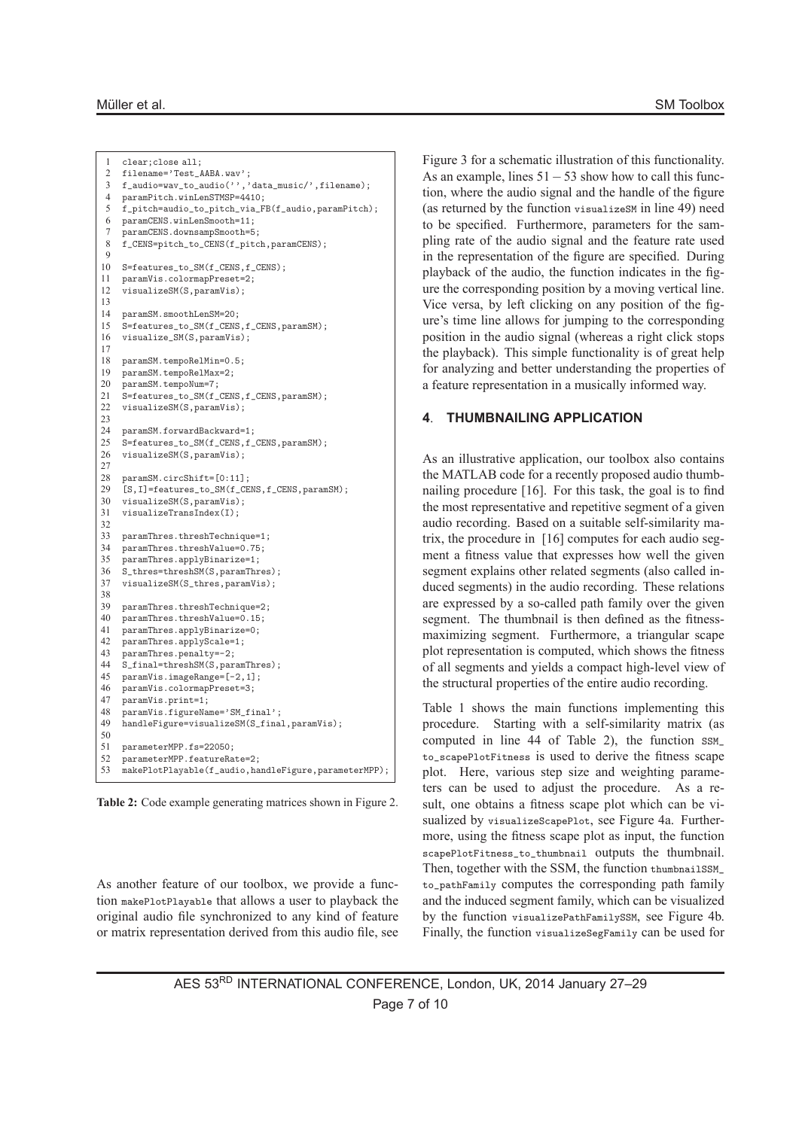```
1 clear;close all;
 2 filename='Test_AABA.wav';
 3 f_audio=wav_to_audio('','data_music/',filename);
 4 paramPitch.winLenSTMSP=4410;
 5 f_pitch=audio_to_pitch_via_FB(f_audio,paramPitch);
 6 paramCENS.winLenSmooth=11;
 7 paramCENS.downsampSmooth=5;
 8 f_CENS=pitch_to_CENS(f_pitch,paramCENS);
 \Omega10 S=features_to_SM(f_CENS,f_CENS);
11 paramVis.colormapPreset=2;
12 visualizeSM(S, paramVis);
13
14 paramSM.smoothLenSM=20;
15 S=features_to_SM(f_CENS,f_CENS,paramSM);
16 visualize_SM(S,paramVis);
17
18 paramSM.tempoRelMin=0.5;
19 paramSM.tempoRelMax=2;<br>20 paramSM.tempoNum=7:
    paramSM.tempoNum=7;
21 S=features_to_SM(f_CENS,f_CENS,paramSM);
22 visualizeSM(S,paramVis);
23
24 paramSM.forwardBackward=1;
25 S=features_to_SM(f_CENS,f_CENS,paramSM);<br>26 visualizeSM(S_paramVis);
   visualizeSM(S,paramVis);
27
28 paramSM.circShift=[0:11];<br>29 [S.I]=features to SM(f CE
     [S,I]=features_to_SM(f_CENS,f_CENS,paramSM);
30 visualizeSM(S, paramVis);<br>31 visualizeTransIndex(I):
    31 visualizeTransIndex(I);
32
33 paramThres.threshTechnique=1;<br>34 paramThres threshValue=0.75.
    paramThres.threshValue=0.75;
35 paramThres.applyBinarize=1;
36 S_thres=threshSM(S,paramThres);
37 visualizeSM(S_thres,paramVis);
38
39 paramThres.threshTechnique=2;
40 paramThres.threshValue=0.15;
41 paramThres.applyBinarize=0;
42 paramThres.applyScale=1;
43 paramThres.penalty=-2;
44 S_final=threshSM(S, paramThres);<br>45 naramVis imageBange=[-2, 1].
    paramVis.imageRange=[-2,1];
46 paramVis.colormapPreset=3;<br>47 paramVis.print=1;
47 paramVis.print=1;<br>48 paramVis.figureNay
48 paramVis.figureName='SM_final';<br>49 handleFigure=visualizeSM(S_fina)
    handleFigure=visualizeSM(S_final,paramVis);
50
51 parameterMPP.fs=22050;
52 parameterMPP.featureRate=2;<br>53 makePlotPlayable(f audio ba
    makePlotPlayable(f_audio,handleFigure,parameterMPP);
```
**Table 2:** Code example generating matrices shown in Figure 2.

As another feature of our toolbox, we provide a function makePlotPlayable that allows a user to playback the original audio file synchronized to any kind of feature or matrix representation derived from this audio file, see

Figure 3 for a schematic illustration of this functionality. As an example, lines 51−53 show how to call this function, where the audio signal and the handle of the figure (as returned by the function visualizeSM in line 49) need to be specified. Furthermore, parameters for the sampling rate of the audio signal and the feature rate used in the representation of the figure are specified. During playback of the audio, the function indicates in the figure the corresponding position by a moving vertical line. Vice versa, by left clicking on any position of the figure's time line allows for jumping to the corresponding position in the audio signal (whereas a right click stops the playback). This simple functionality is of great help for analyzing and better understanding the properties of a feature representation in a musically informed way.

# **4**. **THUMBNAILING APPLICATION**

As an illustrative application, our toolbox also contains the MATLAB code for a recently proposed audio thumbnailing procedure [16]. For this task, the goal is to find the most representative and repetitive segment of a given audio recording. Based on a suitable self-similarity matrix, the procedure in [16] computes for each audio segment a fitness value that expresses how well the given segment explains other related segments (also called induced segments) in the audio recording. These relations are expressed by a so-called path family over the given segment. The thumbnail is then defined as the fitnessmaximizing segment. Furthermore, a triangular scape plot representation is computed, which shows the fitness of all segments and yields a compact high-level view of the structural properties of the entire audio recording.

Table 1 shows the main functions implementing this procedure. Starting with a self-similarity matrix (as computed in line 44 of Table 2), the function SSM\_ to\_scapePlotFitness is used to derive the fitness scape plot. Here, various step size and weighting parameters can be used to adjust the procedure. As a result, one obtains a fitness scape plot which can be visualized by visualizeScapePlot, see Figure 4a. Furthermore, using the fitness scape plot as input, the function scapePlotFitness\_to\_thumbnail outputs the thumbnail. Then, together with the SSM, the function thumbnailSSM to\_pathFamily computes the corresponding path family and the induced segment family, which can be visualized by the function visualizePathFamilySSM, see Figure 4b. Finally, the function visualizeSegFamily can be used for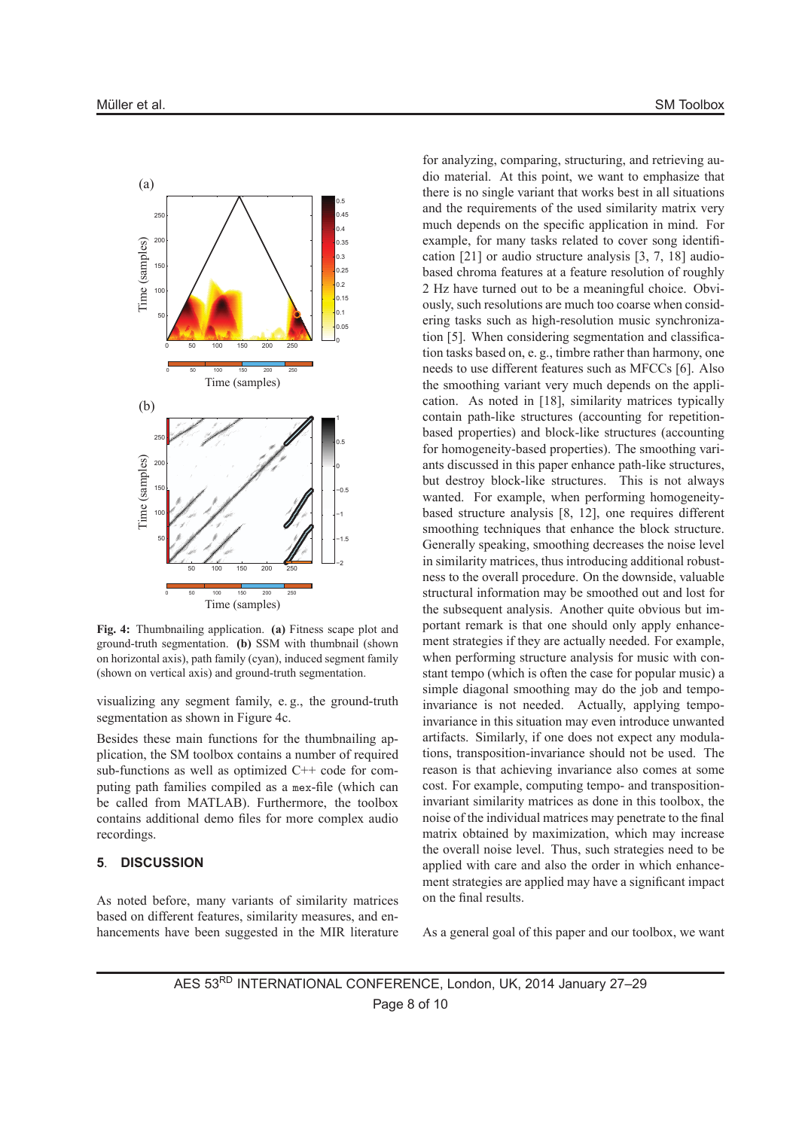

**Fig. 4:** Thumbnailing application. **(a)** Fitness scape plot and ground-truth segmentation. **(b)** SSM with thumbnail (shown on horizontal axis), path family (cyan), induced segment family (shown on vertical axis) and ground-truth segmentation.

visualizing any segment family, e. g., the ground-truth segmentation as shown in Figure 4c.

Besides these main functions for the thumbnailing application, the SM toolbox contains a number of required sub-functions as well as optimized C++ code for computing path families compiled as a mex-file (which can be called from MATLAB). Furthermore, the toolbox contains additional demo files for more complex audio recordings.

# **5**. **DISCUSSION**

As noted before, many variants of similarity matrices based on different features, similarity measures, and enhancements have been suggested in the MIR literature

for analyzing, comparing, structuring, and retrieving audio material. At this point, we want to emphasize that there is no single variant that works best in all situations and the requirements of the used similarity matrix very much depends on the specific application in mind. For example, for many tasks related to cover song identification [21] or audio structure analysis [3, 7, 18] audiobased chroma features at a feature resolution of roughly 2 Hz have turned out to be a meaningful choice. Obviously, such resolutions are much too coarse when considering tasks such as high-resolution music synchronization [5]. When considering segmentation and classification tasks based on, e. g., timbre rather than harmony, one needs to use different features such as MFCCs [6]. Also the smoothing variant very much depends on the application. As noted in [18], similarity matrices typically contain path-like structures (accounting for repetitionbased properties) and block-like structures (accounting for homogeneity-based properties). The smoothing variants discussed in this paper enhance path-like structures, but destroy block-like structures. This is not always wanted. For example, when performing homogeneitybased structure analysis [8, 12], one requires different smoothing techniques that enhance the block structure. Generally speaking, smoothing decreases the noise level in similarity matrices, thus introducing additional robustness to the overall procedure. On the downside, valuable structural information may be smoothed out and lost for the subsequent analysis. Another quite obvious but important remark is that one should only apply enhancement strategies if they are actually needed. For example, when performing structure analysis for music with constant tempo (which is often the case for popular music) a simple diagonal smoothing may do the job and tempoinvariance is not needed. Actually, applying tempoinvariance in this situation may even introduce unwanted artifacts. Similarly, if one does not expect any modulations, transposition-invariance should not be used. The reason is that achieving invariance also comes at some cost. For example, computing tempo- and transpositioninvariant similarity matrices as done in this toolbox, the noise of the individual matrices may penetrate to the final matrix obtained by maximization, which may increase the overall noise level. Thus, such strategies need to be applied with care and also the order in which enhancement strategies are applied may have a significant impact on the final results.

As a general goal of this paper and our toolbox, we want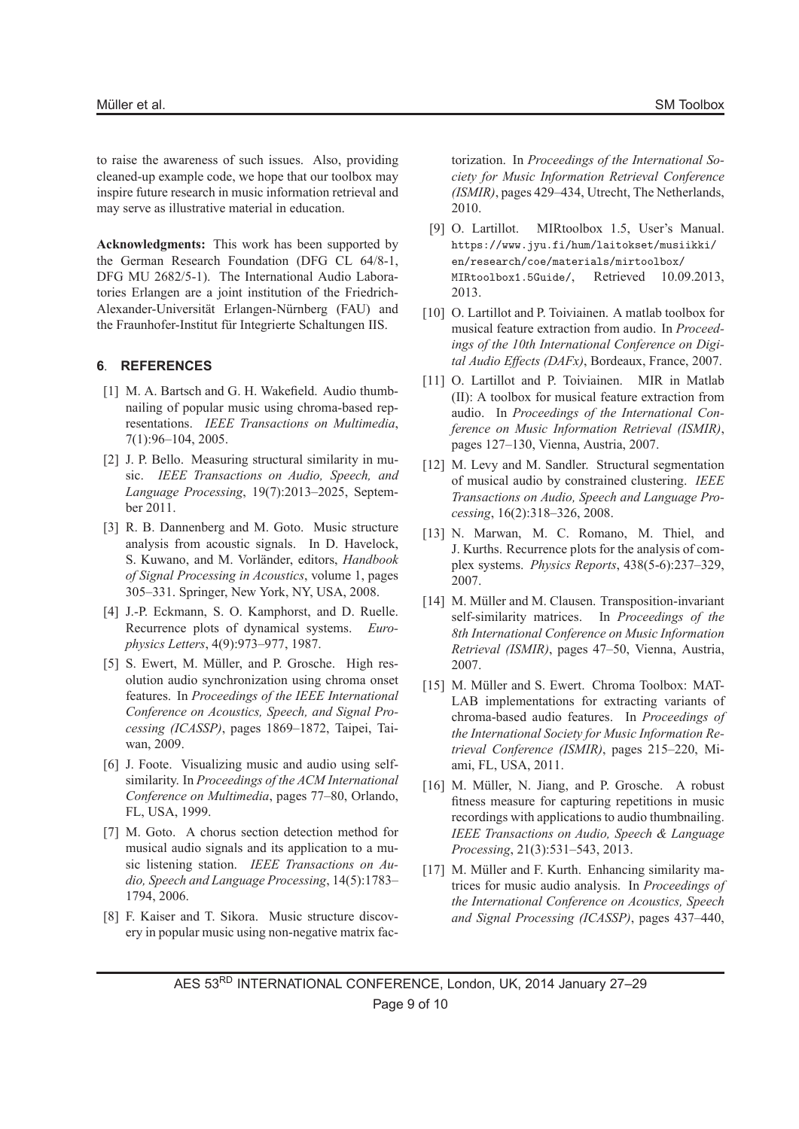to raise the awareness of such issues. Also, providing cleaned-up example code, we hope that our toolbox may inspire future research in music information retrieval and may serve as illustrative material in education.

**Acknowledgments:** This work has been supported by the German Research Foundation (DFG CL 64/8-1, DFG MU 2682/5-1). The International Audio Laboratories Erlangen are a joint institution of the Friedrich-Alexander-Universität Erlangen-Nürnberg (FAU) and the Fraunhofer-Institut für Integrierte Schaltungen IIS.

# **6**. **REFERENCES**

- [1] M. A. Bartsch and G. H. Wakefield. Audio thumbnailing of popular music using chroma-based representations. *IEEE Transactions on Multimedia*, 7(1):96–104, 2005.
- [2] J. P. Bello. Measuring structural similarity in music. *IEEE Transactions on Audio, Speech, and Language Processing*, 19(7):2013–2025, September 2011.
- [3] R. B. Dannenberg and M. Goto. Music structure analysis from acoustic signals. In D. Havelock, S. Kuwano, and M. Vorländer, editors, *Handbook of Signal Processing in Acoustics*, volume 1, pages 305–331. Springer, New York, NY, USA, 2008.
- [4] J.-P. Eckmann, S. O. Kamphorst, and D. Ruelle. Recurrence plots of dynamical systems. *Europhysics Letters*, 4(9):973–977, 1987.
- [5] S. Ewert, M. Müller, and P. Grosche. High resolution audio synchronization using chroma onset features. In *Proceedings of the IEEE International Conference on Acoustics, Speech, and Signal Processing (ICASSP)*, pages 1869–1872, Taipei, Taiwan, 2009.
- [6] J. Foote. Visualizing music and audio using selfsimilarity. In *Proceedings of the ACM International Conference on Multimedia*, pages 77–80, Orlando, FL, USA, 1999.
- [7] M. Goto. A chorus section detection method for musical audio signals and its application to a music listening station. *IEEE Transactions on Audio, Speech and Language Processing*, 14(5):1783– 1794, 2006.
- [8] F. Kaiser and T. Sikora. Music structure discovery in popular music using non-negative matrix fac-

torization. In *Proceedings of the International Society for Music Information Retrieval Conference (ISMIR)*, pages 429–434, Utrecht, The Netherlands, 2010.

- [9] O. Lartillot. MIRtoolbox 1.5, User's Manual. https://www.jyu.fi/hum/laitokset/musiikki/ en/research/coe/materials/mirtoolbox/ MIRtoolbox1.5Guide/, Retrieved 10.09.2013, 2013.
- [10] O. Lartillot and P. Toiviainen. A matlab toolbox for musical feature extraction from audio. In *Proceedings of the 10th International Conference on Digital Audio Effects (DAFx)*, Bordeaux, France, 2007.
- [11] O. Lartillot and P. Toiviainen. MIR in Matlab (II): A toolbox for musical feature extraction from audio. In *Proceedings of the International Conference on Music Information Retrieval (ISMIR)*, pages 127–130, Vienna, Austria, 2007.
- [12] M. Levy and M. Sandler. Structural segmentation of musical audio by constrained clustering. *IEEE Transactions on Audio, Speech and Language Processing*, 16(2):318–326, 2008.
- [13] N. Marwan, M. C. Romano, M. Thiel, and J. Kurths. Recurrence plots for the analysis of complex systems. *Physics Reports*, 438(5-6):237–329, 2007.
- [14] M. Müller and M. Clausen. Transposition-invariant self-similarity matrices. In *Proceedings of the 8th International Conference on Music Information Retrieval (ISMIR)*, pages 47–50, Vienna, Austria, 2007.
- [15] M. Müller and S. Ewert. Chroma Toolbox: MAT-LAB implementations for extracting variants of chroma-based audio features. In *Proceedings of the International Society for Music Information Retrieval Conference (ISMIR)*, pages 215–220, Miami, FL, USA, 2011.
- [16] M. Müller, N. Jiang, and P. Grosche. A robust fitness measure for capturing repetitions in music recordings with applications to audio thumbnailing. *IEEE Transactions on Audio, Speech & Language Processing*, 21(3):531–543, 2013.
- [17] M. Müller and F. Kurth. Enhancing similarity matrices for music audio analysis. In *Proceedings of the International Conference on Acoustics, Speech and Signal Processing (ICASSP)*, pages 437–440,